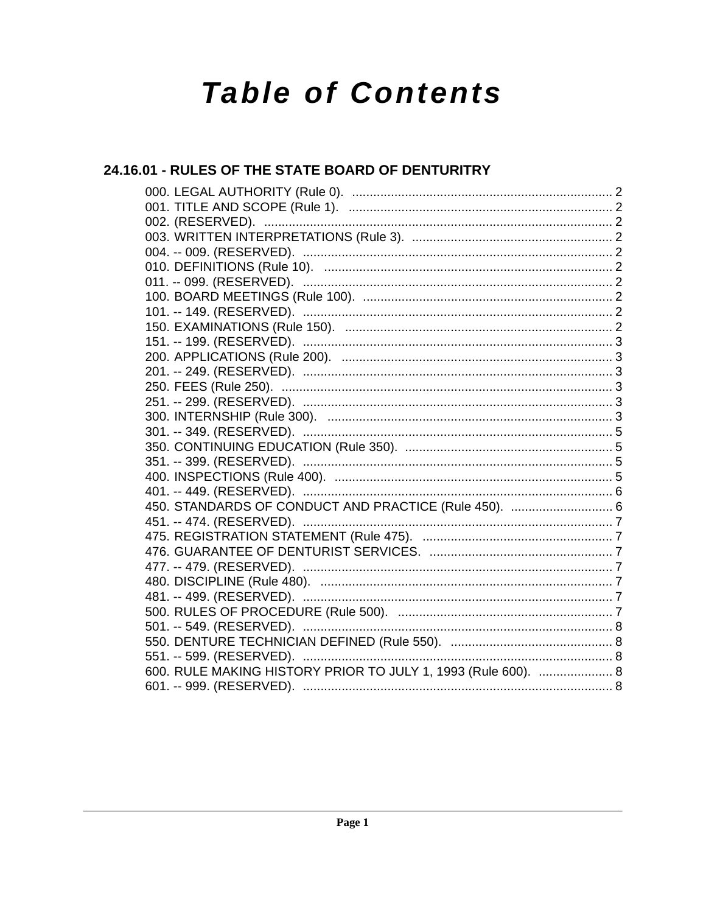# **Table of Contents**

# 24.16.01 - RULES OF THE STATE BOARD OF DENTURITRY

| 450. STANDARDS OF CONDUCT AND PRACTICE (Rule 450).  6         |  |
|---------------------------------------------------------------|--|
|                                                               |  |
|                                                               |  |
|                                                               |  |
|                                                               |  |
|                                                               |  |
|                                                               |  |
|                                                               |  |
|                                                               |  |
|                                                               |  |
| 551. -- 599. (RESERVED). ……………………………………………………………………………… 8     |  |
| 600. RULE MAKING HISTORY PRIOR TO JULY 1, 1993 (Rule 600).  8 |  |
|                                                               |  |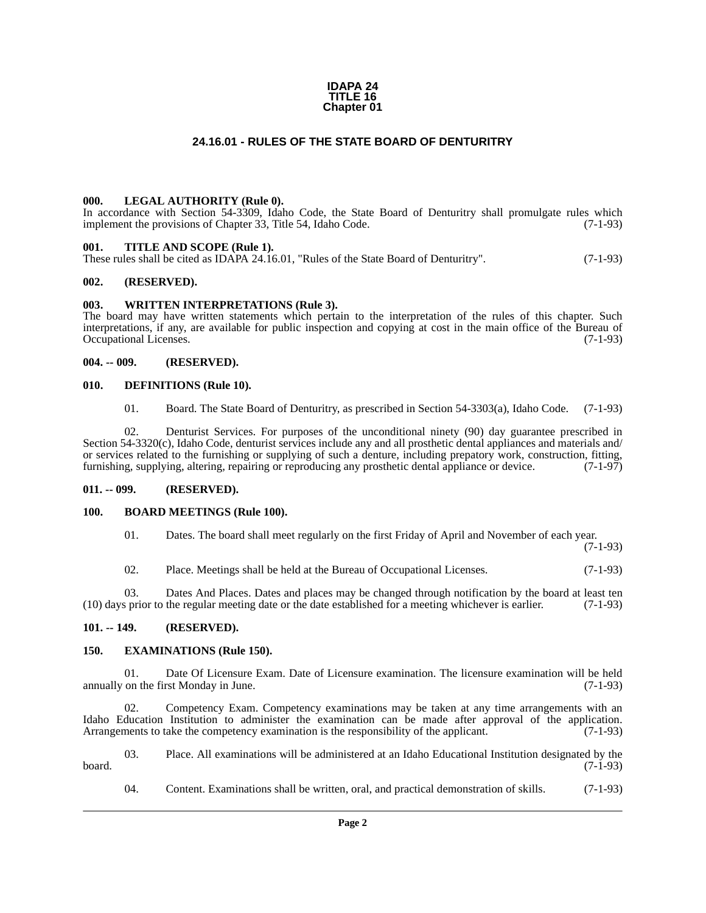#### **IDAPA 24 TITLE 16 Chapter 01**

# **24.16.01 - RULES OF THE STATE BOARD OF DENTURITRY**

#### <span id="page-1-1"></span><span id="page-1-0"></span>**000. LEGAL AUTHORITY (Rule 0).**

In accordance with Section 54-3309, Idaho Code, the State Board of Denturitry shall promulgate rules which implement the provisions of Chapter 33, Title 54, Idaho Code. (7-1-93)

# <span id="page-1-2"></span>**001. TITLE AND SCOPE (Rule 1).**

These rules shall be cited as IDAPA 24.16.01, "Rules of the State Board of Denturitry". (7-1-93)

### <span id="page-1-3"></span>**002. (RESERVED).**

#### <span id="page-1-4"></span>**003. WRITTEN INTERPRETATIONS (Rule 3).**

The board may have written statements which pertain to the interpretation of the rules of this chapter. Such interpretations, if any, are available for public inspection and copying at cost in the main office of the Bureau of Occupational Licenses. (7-1-93)

#### <span id="page-1-5"></span>**004. -- 009. (RESERVED).**

#### <span id="page-1-6"></span>**010. DEFINITIONS (Rule 10).**

01. Board. The State Board of Denturitry, as prescribed in Section 54-3303(a), Idaho Code. (7-1-93)

02. Denturist Services. For purposes of the unconditional ninety (90) day guarantee prescribed in Section 54-3320(c), Idaho Code, denturist services include any and all prosthetic dental appliances and materials and/ or services related to the furnishing or supplying of such a denture, including prepatory work, construction, fitting, furnishing, supplying, altering, repairing or reproducing any prosthetic dental appliance or device. (7-1-97)

# <span id="page-1-7"></span>**011. -- 099. (RESERVED).**

# <span id="page-1-8"></span>**100. BOARD MEETINGS (Rule 100).**

01. Dates. The board shall meet regularly on the first Friday of April and November of each year.

(7-1-93)

02. Place. Meetings shall be held at the Bureau of Occupational Licenses. (7-1-93)

03. Dates And Places. Dates and places may be changed through notification by the board at least ten (10) days prior to the regular meeting date or the date established for a meeting whichever is earlier. (7-1-93)

# <span id="page-1-9"></span>**101. -- 149. (RESERVED).**

#### <span id="page-1-10"></span>**150. EXAMINATIONS (Rule 150).**

01. Date Of Licensure Exam. Date of Licensure examination. The licensure examination will be held on the first Monday in June. (7-1-93) annually on the first Monday in June.

02. Competency Exam. Competency examinations may be taken at any time arrangements with an Idaho Education Institution to administer the examination can be made after approval of the application.<br>Arrangements to take the competency examination is the responsibility of the applicant. (7-1-93) Arrangements to take the competency examination is the responsibility of the applicant.

03. Place. All examinations will be administered at an Idaho Educational Institution designated by the board. (7-1-93)

04. Content. Examinations shall be written, oral, and practical demonstration of skills. (7-1-93)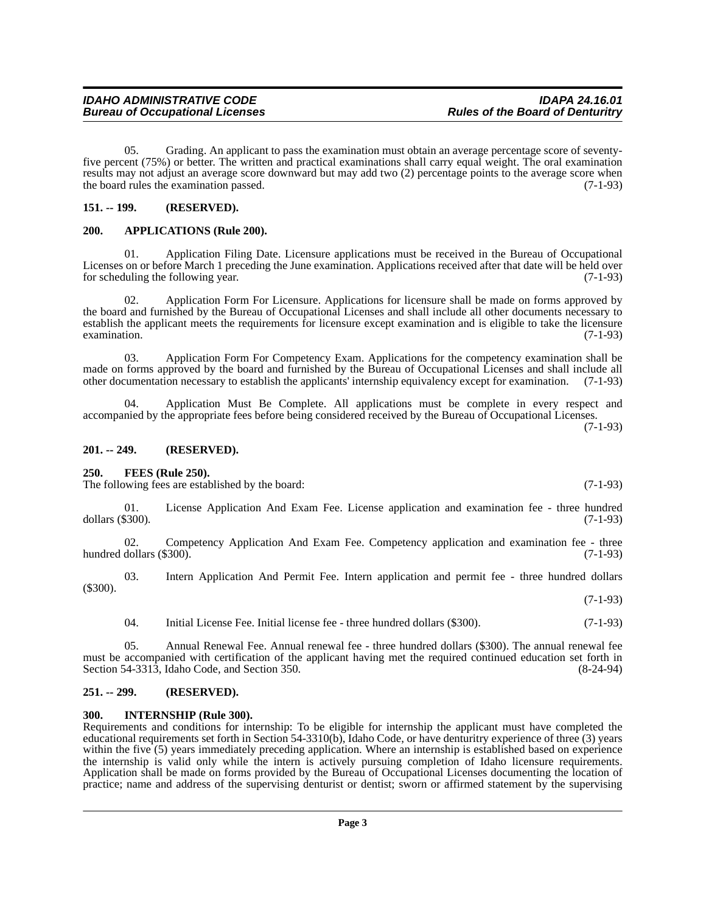05. Grading. An applicant to pass the examination must obtain an average percentage score of seventyfive percent (75%) or better. The written and practical examinations shall carry equal weight. The oral examination results may not adjust an average score downward but may add two (2) percentage points to the average score when the board rules the examination passed. (7-1-93)

# <span id="page-2-0"></span>**151. -- 199. (RESERVED).**

# <span id="page-2-1"></span>**200. APPLICATIONS (Rule 200).**

**Bureau of Occupational Licenses** 

01. Application Filing Date. Licensure applications must be received in the Bureau of Occupational Licenses on or before March 1 preceding the June examination. Applications received after that date will be held over<br>for scheduling the following year. (7-1-93) for scheduling the following year.

02. Application Form For Licensure. Applications for licensure shall be made on forms approved by the board and furnished by the Bureau of Occupational Licenses and shall include all other documents necessary to establish the applicant meets the requirements for licensure except examination and is eligible to take the licensure examination. (7-1-93)  $\alpha$  examination.  $(7-1-93)$ 

03. Application Form For Competency Exam. Applications for the competency examination shall be made on forms approved by the board and furnished by the Bureau of Occupational Licenses and shall include all other documentation necessary to establish the applicants' internship equivalency except for examination. (7-1-93)

04. Application Must Be Complete. All applications must be complete in every respect and accompanied by the appropriate fees before being considered received by the Bureau of Occupational Licenses.

(7-1-93)

#### <span id="page-2-2"></span>**201. -- 249. (RESERVED).**

#### <span id="page-2-3"></span>**250. FEES (Rule 250).**

The following fees are established by the board: (7-1-93)

01. License Application And Exam Fee. License application and examination fee - three hundred dollars (\$300). (7-1-93)

02. Competency Application And Exam Fee. Competency application and examination fee - three hundred dollars  $(\text{\$300}).$  (7-1-93)

03. Intern Application And Permit Fee. Intern application and permit fee - three hundred dollars (\$300). (7-1-93)

04. Initial License Fee. Initial license fee - three hundred dollars (\$300). (7-1-93)

05. Annual Renewal Fee. Annual renewal fee - three hundred dollars (\$300). The annual renewal fee must be accompanied with certification of the applicant having met the required continued education set forth in Section 54-3313, Idaho Code, and Section 350. Section 54-3313, Idaho Code, and Section 350.

# <span id="page-2-4"></span>**251. -- 299. (RESERVED).**

# <span id="page-2-5"></span>**300. INTERNSHIP (Rule 300).**

Requirements and conditions for internship: To be eligible for internship the applicant must have completed the educational requirements set forth in Section 54-3310(b), Idaho Code, or have denturitry experience of three (3) years within the five (5) years immediately preceding application. Where an internship is established based on experience the internship is valid only while the intern is actively pursuing completion of Idaho licensure requirements. Application shall be made on forms provided by the Bureau of Occupational Licenses documenting the location of practice; name and address of the supervising denturist or dentist; sworn or affirmed statement by the supervising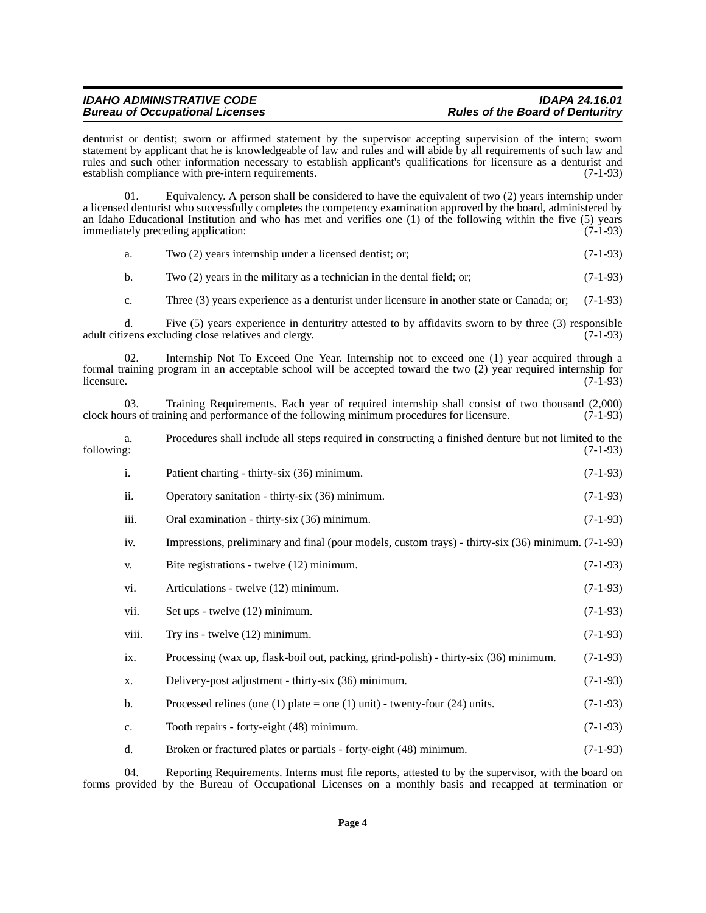# *IDAHO ADMINISTRATIVE CODE IDAPA 24.16.01* **Bureau of Occupational Licenses**

denturist or dentist; sworn or affirmed statement by the supervisor accepting supervision of the intern; sworn statement by applicant that he is knowledgeable of law and rules and will abide by all requirements of such law and rules and such other information necessary to establish applicant's qualifications for licensure as a denturist and establish compliance with pre-intern requirements. (7-1-93)

01. Equivalency. A person shall be considered to have the equivalent of two (2) years internship under a licensed denturist who successfully completes the competency examination approved by the board, administered by an Idaho Educational Institution and who has met and verifies one (1) of the following within the five (5) years immediately preceding application:  $(7-1-93)$ immediately preceding application:

|  | Two (2) years internship under a licensed dentist; or; | $(7-1-93)$ |
|--|--------------------------------------------------------|------------|
|--|--------------------------------------------------------|------------|

b. Two  $(2)$  years in the military as a technician in the dental field; or;  $(7-1-93)$ 

c. Three (3) years experience as a denturist under licensure in another state or Canada; or; (7-1-93)

d. Five (5) years experience in denturitry attested to by affidavits sworn to by three (3) responsible adult citizens excluding close relatives and clergy.

02. Internship Not To Exceed One Year. Internship not to exceed one (1) year acquired through a formal training program in an acceptable school will be accepted toward the two (2) year required internship for licensure. (7-1-93)  $l$ icensure.  $(7-1-93)$ 

03. Training Requirements. Each year of required internship shall consist of two thousand (2,000) clock hours of training and performance of the following minimum procedures for licensure. (7-1-93)

a. Procedures shall include all steps required in constructing a finished denture but not limited to the

| following: |                |                                                                                                    | $(7-1-93)$ |
|------------|----------------|----------------------------------------------------------------------------------------------------|------------|
|            | $\mathbf{i}$ . | Patient charting - thirty-six (36) minimum.                                                        | $(7-1-93)$ |
|            | ii.            | Operatory sanitation - thirty-six (36) minimum.                                                    | $(7-1-93)$ |
|            | iii.           | Oral examination - thirty-six (36) minimum.                                                        | $(7-1-93)$ |
|            | iv.            | Impressions, preliminary and final (pour models, custom trays) - thirty-six (36) minimum. (7-1-93) |            |
|            | V.             | Bite registrations - twelve (12) minimum.                                                          | $(7-1-93)$ |
|            | vi.            | Articulations - twelve (12) minimum.                                                               | $(7-1-93)$ |
|            | vii.           | Set ups - twelve (12) minimum.                                                                     | $(7-1-93)$ |
|            | viii.          | Try ins - twelve $(12)$ minimum.                                                                   | $(7-1-93)$ |
|            | ix.            | Processing (wax up, flask-boil out, packing, grind-polish) - thirty-six (36) minimum.              | $(7-1-93)$ |
|            | X.             | Delivery-post adjustment - thirty-six (36) minimum.                                                | $(7-1-93)$ |
|            | b.             | Processed relines (one (1) plate = one (1) unit) - twenty-four (24) units.                         | $(7-1-93)$ |
|            | $\mathbf{c}$ . | Tooth repairs - forty-eight (48) minimum.                                                          | $(7-1-93)$ |
|            | d.             | Broken or fractured plates or partials - forty-eight (48) minimum.                                 | $(7-1-93)$ |
|            | 04             | Reporting Requirements Interns must file reports attested to by the supervisor with the board on   |            |

04. Reporting Requirements. Interns must file reports, attested to by the supervisor, with the board on forms provided by the Bureau of Occupational Licenses on a monthly basis and recapped at termination or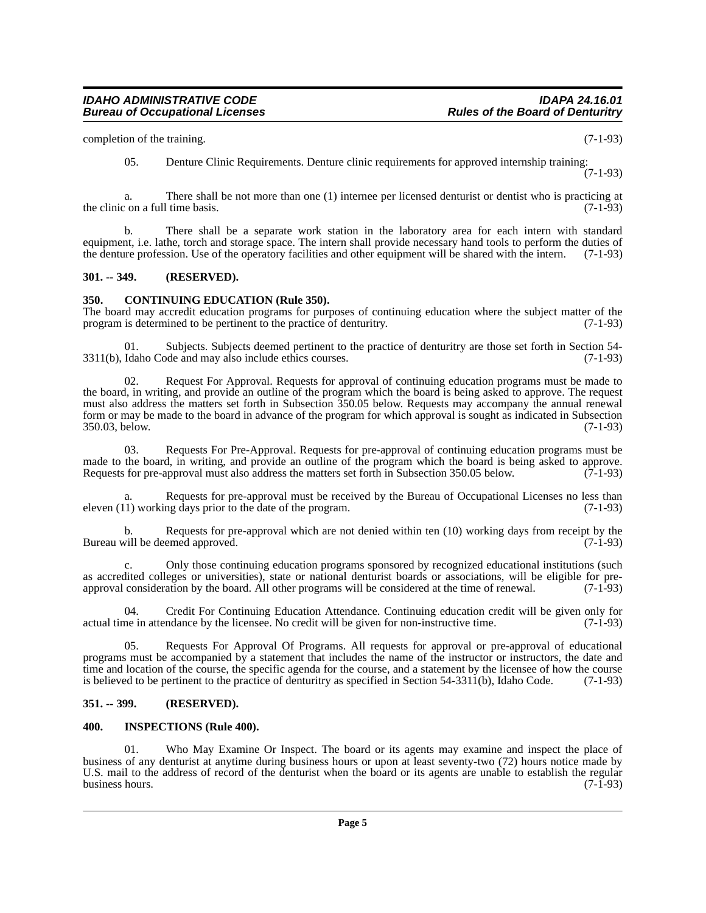completion of the training. (7-1-93)

05. Denture Clinic Requirements. Denture clinic requirements for approved internship training: (7-1-93)

a. There shall be not more than one (1) internee per licensed denturist or dentist who is practicing at  $\frac{1}{2}$  on a full time basis. (7-1-93) the clinic on a full time basis.

b. There shall be a separate work station in the laboratory area for each intern with standard equipment, i.e. lathe, torch and storage space. The intern shall provide necessary hand tools to perform the duties of the denture profession. Use of the operatory facilities and other equipment will be shared with the intern. (7-1-93)

# <span id="page-4-0"></span>**301. -- 349. (RESERVED).**

# <span id="page-4-1"></span>**350. CONTINUING EDUCATION (Rule 350).**

The board may accredit education programs for purposes of continuing education where the subject matter of the program is determined to be pertinent to the practice of denturity. (7-1-93) program is determined to be pertinent to the practice of denturitry.

01. Subjects. Subjects deemed pertinent to the practice of denturitry are those set forth in Section 54-<br>Idaho Code and may also include ethics courses. (7-1-93)  $3311(b)$ , Idaho Code and may also include ethics courses.

02. Request For Approval. Requests for approval of continuing education programs must be made to the board, in writing, and provide an outline of the program which the board is being asked to approve. The request must also address the matters set forth in Subsection 350.05 below. Requests may accompany the annual renewal form or may be made to the board in advance of the program for which approval is sought as indicated in Subsection 350.03, below. (7-1-93) 350.03, below.

03. Requests For Pre-Approval. Requests for pre-approval of continuing education programs must be made to the board, in writing, and provide an outline of the program which the board is being asked to approve.<br>Requests for pre-approval must also address the matters set forth in Subsection 350.05 below. (7-1-93) Requests for pre-approval must also address the matters set forth in Subsection 350.05 below.

a. Requests for pre-approval must be received by the Bureau of Occupational Licenses no less than 1) working days prior to the date of the program. (7-1-93) eleven  $(11)$  working days prior to the date of the program.

b. Requests for pre-approval which are not denied within ten  $(10)$  working days from receipt by the will be deemed approved.  $(7-1-93)$ Bureau will be deemed approved.

c. Only those continuing education programs sponsored by recognized educational institutions (such as accredited colleges or universities), state or national denturist boards or associations, will be eligible for pre-<br>approval consideration by the board. All other programs will be considered at the time of renewal. (7-1 approval consideration by the board. All other programs will be considered at the time of renewal.

04. Credit For Continuing Education Attendance. Continuing education credit will be given only for actual time in attendance by the licensee. No credit will be given for non-instructive time. (7-1-93)

05. Requests For Approval Of Programs. All requests for approval or pre-approval of educational programs must be accompanied by a statement that includes the name of the instructor or instructors, the date and time and location of the course, the specific agenda for the course, and a statement by the licensee of how the course is believed to be pertinent to the practice of denturitry as specified in Section 54-3311(b), Idaho Code. (7-1-93)

# <span id="page-4-2"></span>**351. -- 399. (RESERVED).**

# <span id="page-4-3"></span>**400. INSPECTIONS (Rule 400).**

01. Who May Examine Or Inspect. The board or its agents may examine and inspect the place of business of any denturist at anytime during business hours or upon at least seventy-two (72) hours notice made by U.S. mail to the address of record of the denturist when the board or its agents are unable to establish the regular business hours. (7-1-93) business hours.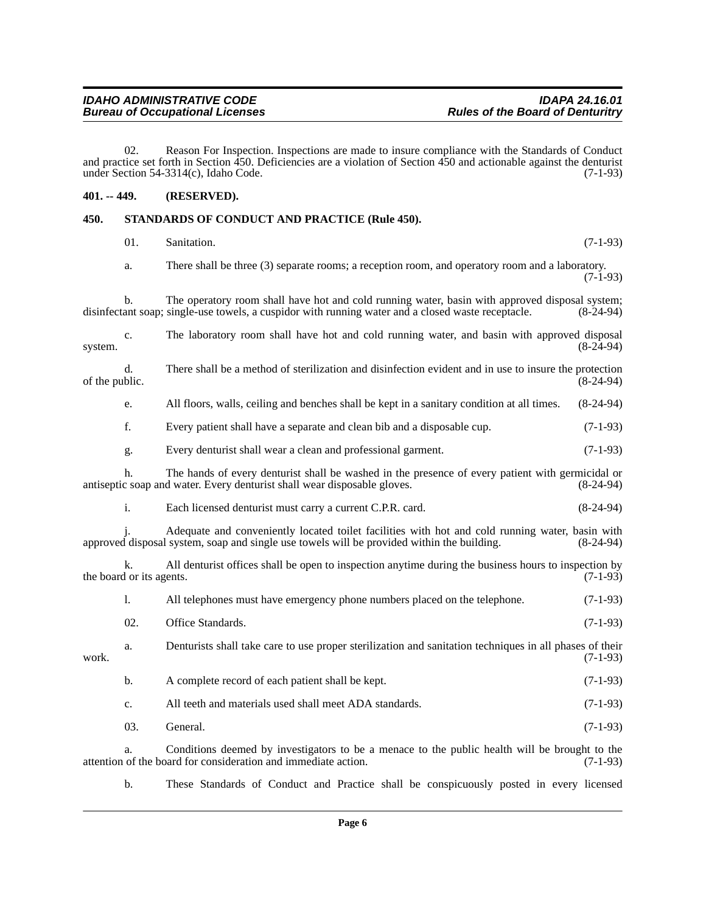02. Reason For Inspection. Inspections are made to insure compliance with the Standards of Conduct and practice set forth in Section 450. Deficiencies are a violation of Section 450 and actionable against the denturist under Section 54-3314(c), Idaho Code. (7-1-93) under Section  $54-3314(c)$ , Idaho Code.

# <span id="page-5-0"></span>**401. -- 449. (RESERVED).**

# <span id="page-5-1"></span>**450. STANDARDS OF CONDUCT AND PRACTICE (Rule 450).**

|                | 01.                            | Sanitation.                                                                                                                                                                                          | $(7-1-93)$  |
|----------------|--------------------------------|------------------------------------------------------------------------------------------------------------------------------------------------------------------------------------------------------|-------------|
|                | a.                             | There shall be three (3) separate rooms; a reception room, and operatory room and a laboratory.                                                                                                      | $(7-1-93)$  |
|                | b.                             | The operatory room shall have hot and cold running water, basin with approved disposal system;<br>disinfectant soap; single-use towels, a cuspidor with running water and a closed waste receptacle. | $(8-24-94)$ |
| system.        | c.                             | The laboratory room shall have hot and cold running water, and basin with approved disposal                                                                                                          | $(8-24-94)$ |
| of the public. | d.                             | There shall be a method of sterilization and disinfection evident and in use to insure the protection                                                                                                | $(8-24-94)$ |
|                | e.                             | All floors, walls, ceiling and benches shall be kept in a sanitary condition at all times.                                                                                                           | $(8-24-94)$ |
|                | f.                             | Every patient shall have a separate and clean bib and a disposable cup.                                                                                                                              | $(7-1-93)$  |
|                | g.                             | Every denturist shall wear a clean and professional garment.                                                                                                                                         | $(7-1-93)$  |
|                | h.                             | The hands of every denturist shall be washed in the presence of every patient with germicidal or<br>antiseptic soap and water. Every denturist shall wear disposable gloves.                         | $(8-24-94)$ |
|                | i.                             | Each licensed denturist must carry a current C.P.R. card.                                                                                                                                            | $(8-24-94)$ |
|                |                                | Adequate and conveniently located toilet facilities with hot and cold running water, basin with<br>approved disposal system, soap and single use towels will be provided within the building.        | $(8-24-94)$ |
|                | k.<br>the board or its agents. | All denturist offices shall be open to inspection anytime during the business hours to inspection by                                                                                                 | $(7-1-93)$  |
|                | 1.                             | All telephones must have emergency phone numbers placed on the telephone.                                                                                                                            | $(7-1-93)$  |
|                | 02.                            | Office Standards.                                                                                                                                                                                    | $(7-1-93)$  |
| work.          | a.                             | Denturists shall take care to use proper sterilization and sanitation techniques in all phases of their                                                                                              | $(7-1-93)$  |
|                | b.                             | A complete record of each patient shall be kept.                                                                                                                                                     | $(7-1-93)$  |
|                | c.                             | All teeth and materials used shall meet ADA standards.                                                                                                                                               | $(7-1-93)$  |
|                | 03.                            | General.                                                                                                                                                                                             | $(7-1-93)$  |
|                | a.                             | Conditions deemed by investigators to be a menace to the public health will be brought to the<br>attention of the board for consideration and immediate action.                                      | $(7-1-93)$  |

b. These Standards of Conduct and Practice shall be conspicuously posted in every licensed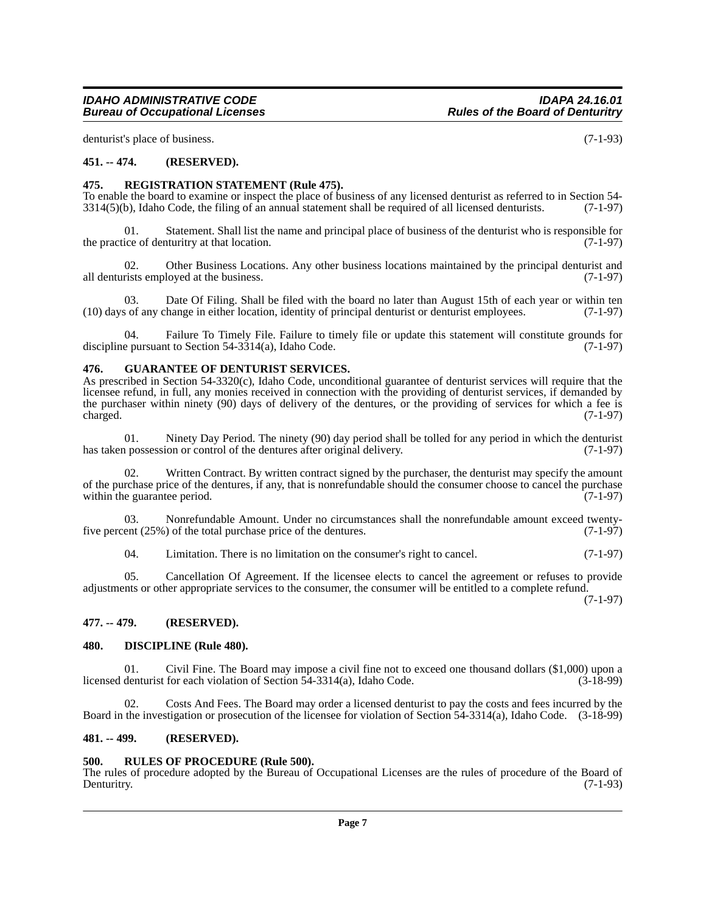denturist's place of business. (7-1-93)

# <span id="page-6-0"></span>**451. -- 474. (RESERVED).**

# <span id="page-6-1"></span>**475. REGISTRATION STATEMENT (Rule 475).**

To enable the board to examine or inspect the place of business of any licensed denturist as referred to in Section 54-<br>3314(5)(b). Idaho Code, the filing of an annual statement shall be required of all licensed denturists  $3314(5)$ (b), Idaho Code, the filing of an annual statement shall be required of all licensed denturists.

01. Statement. Shall list the name and principal place of business of the denturist who is responsible for the practice of denturitry at that location.  $(7-1-97)$ 

02. Other Business Locations. Any other business locations maintained by the principal denturist and rists employed at the business.  $(7-1-97)$ all denturists employed at the business.

03. Date Of Filing. Shall be filed with the board no later than August 15th of each year or within ten s of any change in either location, identity of principal denturist or denturist employees. (7-1-97) (10) days of any change in either location, identity of principal denturist or denturist employees. (7-1-97)

04. Failure To Timely File. Failure to timely file or update this statement will constitute grounds for discipline pursuant to Section  $54-3314(a)$ , Idaho Code. (7-1-97)

#### <span id="page-6-2"></span>**476. GUARANTEE OF DENTURIST SERVICES.**

As prescribed in Section 54-3320(c), Idaho Code, unconditional guarantee of denturist services will require that the licensee refund, in full, any monies received in connection with the providing of denturist services, if demanded by the purchaser within ninety (90) days of delivery of the dentures, or the providing of services for which a fee is  $\alpha$  charged.  $(7-1-97)$ 

01. Ninety Day Period. The ninety (90) day period shall be tolled for any period in which the denturist prossession or control of the dentures after original delivery.  $(7-1-97)$ has taken possession or control of the dentures after original delivery.

Written Contract. By written contract signed by the purchaser, the denturist may specify the amount of the purchase price of the dentures, if any, that is nonrefundable should the consumer choose to cancel the purchase within the guarantee period. (7-1-97) within the guarantee period.

03. Nonrefundable Amount. Under no circumstances shall the nonrefundable amount exceed twenty-<br>ent  $(25%)$  of the total purchase price of the dentures.  $(7-1-97)$ five percent  $(25\%)$  of the total purchase price of the dentures.

04. Limitation. There is no limitation on the consumer's right to cancel. (7-1-97)

05. Cancellation Of Agreement. If the licensee elects to cancel the agreement or refuses to provide adjustments or other appropriate services to the consumer, the consumer will be entitled to a complete refund.

(7-1-97)

# <span id="page-6-3"></span>**477. -- 479. (RESERVED).**

### <span id="page-6-4"></span>**480. DISCIPLINE (Rule 480).**

01. Civil Fine. The Board may impose a civil fine not to exceed one thousand dollars  $(\$1,000)$  upon a denturist for each violation of Section 54-3314(a), Idaho Code.  $(3-18-99)$ licensed denturist for each violation of Section  $\overline{54}$ -3314(a), Idaho Code.

Costs And Fees. The Board may order a licensed denturist to pay the costs and fees incurred by the Board in the investigation or prosecution of the licensee for violation of Section 54-3314(a), Idaho Code. (3-18-99)

#### <span id="page-6-5"></span>**481. -- 499. (RESERVED).**

# <span id="page-6-6"></span>**500. RULES OF PROCEDURE (Rule 500).**

The rules of procedure adopted by the Bureau of Occupational Licenses are the rules of procedure of the Board of Denturity. (7-1-93) Denturitry. (7-1-93)